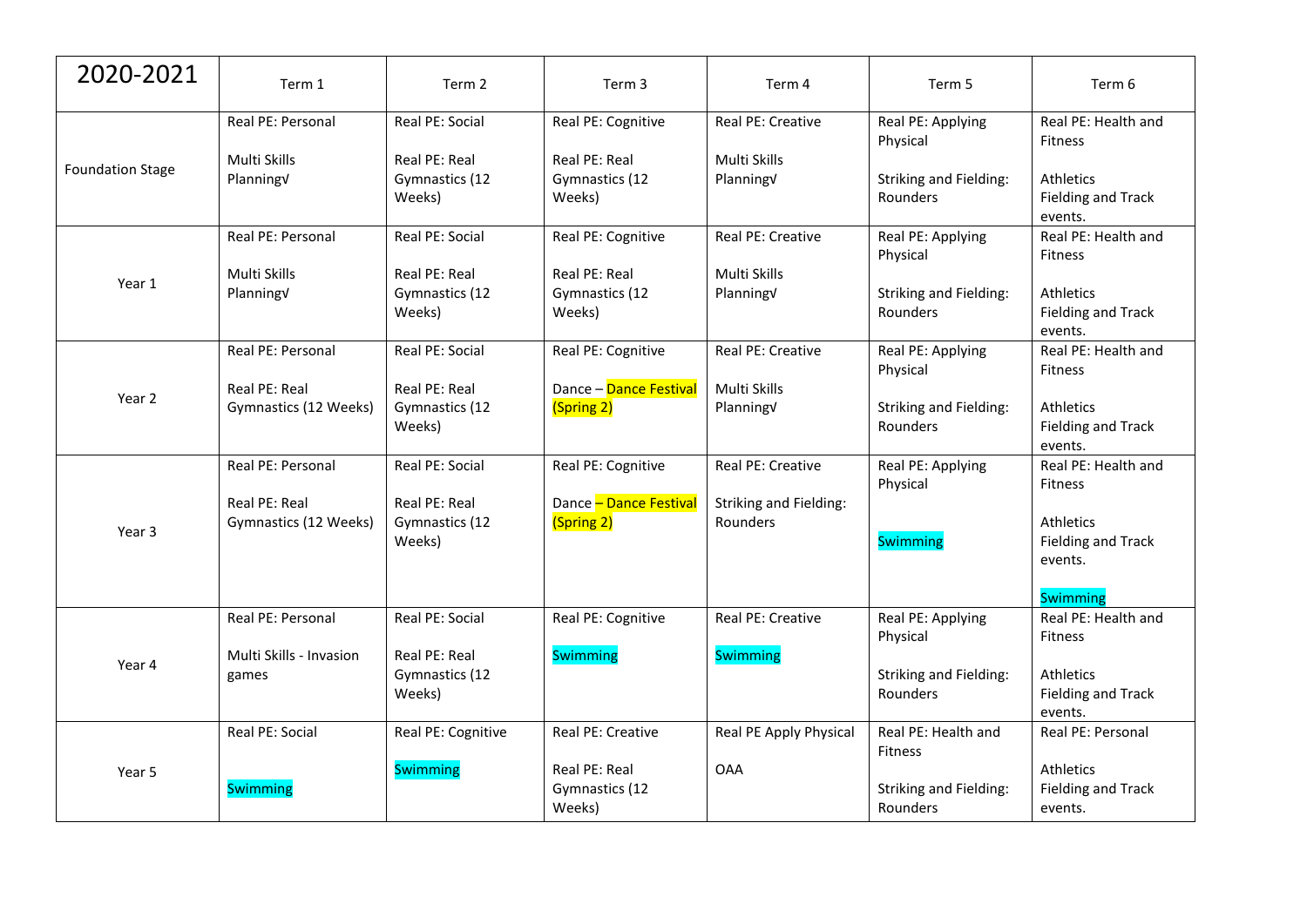| 2020-2021               | Term 1                                 | Term 2                                    | Term 3                                    | Term 4                             | Term 5                                    | Term 6                                                                      |
|-------------------------|----------------------------------------|-------------------------------------------|-------------------------------------------|------------------------------------|-------------------------------------------|-----------------------------------------------------------------------------|
| <b>Foundation Stage</b> | Real PE: Personal                      | Real PE: Social                           | Real PE: Cognitive                        | Real PE: Creative                  | Real PE: Applying<br>Physical             | Real PE: Health and<br><b>Fitness</b>                                       |
|                         | Multi Skills<br>PlanningV              | Real PE: Real<br>Gymnastics (12<br>Weeks) | Real PE: Real<br>Gymnastics (12<br>Weeks) | Multi Skills<br>PlanningV          | <b>Striking and Fielding:</b><br>Rounders | <b>Athletics</b><br><b>Fielding and Track</b><br>events.                    |
| Year 1                  | Real PE: Personal                      | Real PE: Social                           | Real PE: Cognitive                        | Real PE: Creative                  | Real PE: Applying<br>Physical             | Real PE: Health and<br><b>Fitness</b>                                       |
|                         | Multi Skills<br>PlanningV              | Real PE: Real<br>Gymnastics (12<br>Weeks) | Real PE: Real<br>Gymnastics (12<br>Weeks) | Multi Skills<br>PlanningV          | <b>Striking and Fielding:</b><br>Rounders | <b>Athletics</b><br><b>Fielding and Track</b><br>events.                    |
| Year 2                  | Real PE: Personal                      | Real PE: Social                           | Real PE: Cognitive                        | Real PE: Creative                  | Real PE: Applying<br>Physical             | Real PE: Health and<br><b>Fitness</b>                                       |
|                         | Real PE: Real<br>Gymnastics (12 Weeks) | Real PE: Real<br>Gymnastics (12<br>Weeks) | Dance - Dance Festival<br>(Spring 2)      | Multi Skills<br>PlanningV          | <b>Striking and Fielding:</b><br>Rounders | <b>Athletics</b><br>Fielding and Track<br>events.                           |
|                         | Real PE: Personal                      | Real PE: Social                           | Real PE: Cognitive                        | Real PE: Creative                  | Real PE: Applying<br>Physical             | Real PE: Health and<br>Fitness                                              |
| Year 3                  | Real PE: Real<br>Gymnastics (12 Weeks) | Real PE: Real<br>Gymnastics (12<br>Weeks) | Dance - Dance Festival<br>(Spring 2)      | Striking and Fielding:<br>Rounders | <b>Swimming</b>                           | <b>Athletics</b><br><b>Fielding and Track</b><br>events.<br><b>Swimming</b> |
| Year 4                  | Real PE: Personal                      | Real PE: Social                           | Real PE: Cognitive                        | <b>Real PE: Creative</b>           | Real PE: Applying<br>Physical             | Real PE: Health and<br><b>Fitness</b>                                       |
|                         | Multi Skills - Invasion<br>games       | Real PE: Real<br>Gymnastics (12<br>Weeks) | <b>Swimming</b>                           | <b>Swimming</b>                    | <b>Striking and Fielding:</b><br>Rounders | <b>Athletics</b><br><b>Fielding and Track</b><br>events.                    |
| Year 5                  | Real PE: Social                        | Real PE: Cognitive                        | Real PE: Creative                         | Real PE Apply Physical             | Real PE: Health and<br><b>Fitness</b>     | Real PE: Personal                                                           |
|                         | <b>Swimming</b>                        | <b>Swimming</b>                           | Real PE: Real<br>Gymnastics (12<br>Weeks) | <b>OAA</b>                         | <b>Striking and Fielding:</b><br>Rounders | <b>Athletics</b><br><b>Fielding and Track</b><br>events.                    |